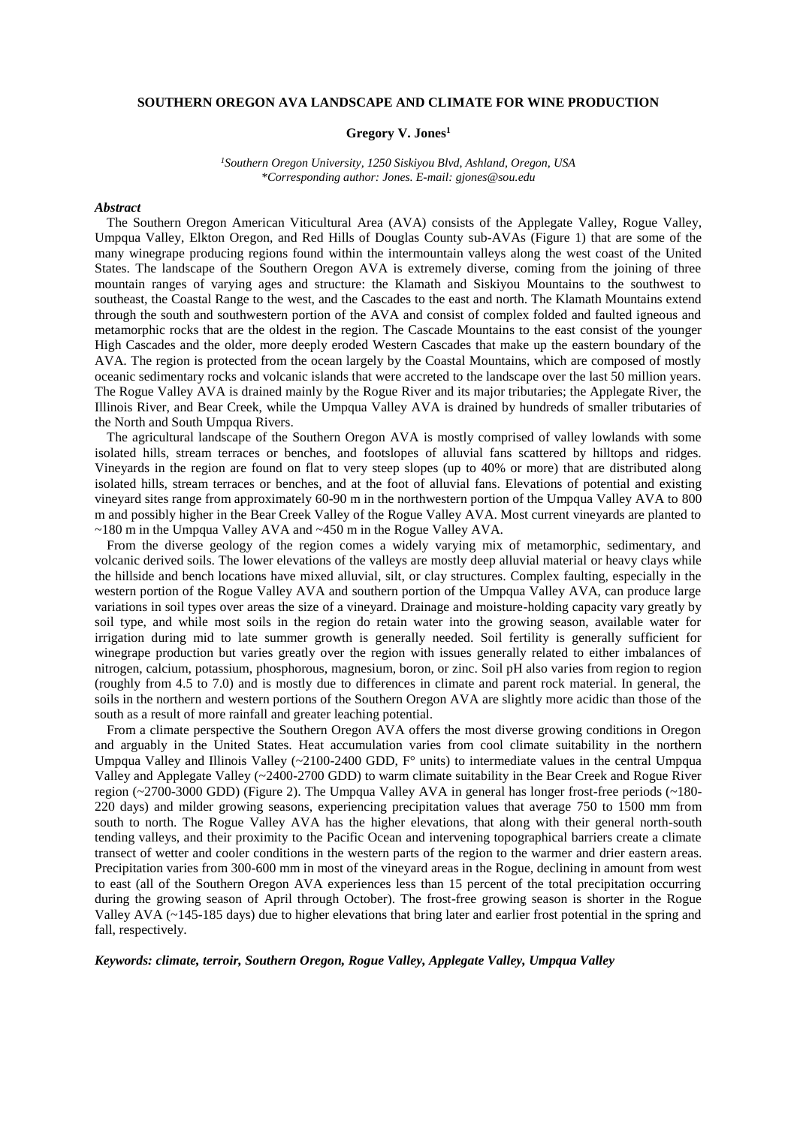## **SOUTHERN OREGON AVA LANDSCAPE AND CLIMATE FOR WINE PRODUCTION**

## **Gregory V. Jones<sup>1</sup>**

*<sup>1</sup>Southern Oregon University, 1250 Siskiyou Blvd, Ashland, Oregon, USA \*Corresponding author: Jones. E-mail: gjones@sou.edu*

## *Abstract*

The Southern Oregon American Viticultural Area (AVA) consists of the Applegate Valley, Rogue Valley, Umpqua Valley, Elkton Oregon, and Red Hills of Douglas County sub-AVAs (Figure 1) that are some of the many winegrape producing regions found within the intermountain valleys along the west coast of the United States. The landscape of the Southern Oregon AVA is extremely diverse, coming from the joining of three mountain ranges of varying ages and structure: the Klamath and Siskiyou Mountains to the southwest to southeast, the Coastal Range to the west, and the Cascades to the east and north. The Klamath Mountains extend through the south and southwestern portion of the AVA and consist of complex folded and faulted igneous and metamorphic rocks that are the oldest in the region. The Cascade Mountains to the east consist of the younger High Cascades and the older, more deeply eroded Western Cascades that make up the eastern boundary of the AVA. The region is protected from the ocean largely by the Coastal Mountains, which are composed of mostly oceanic sedimentary rocks and volcanic islands that were accreted to the landscape over the last 50 million years. The Rogue Valley AVA is drained mainly by the Rogue River and its major tributaries; the Applegate River, the Illinois River, and Bear Creek, while the Umpqua Valley AVA is drained by hundreds of smaller tributaries of the North and South Umpqua Rivers.

The agricultural landscape of the Southern Oregon AVA is mostly comprised of valley lowlands with some isolated hills, stream terraces or benches, and footslopes of alluvial fans scattered by hilltops and ridges. Vineyards in the region are found on flat to very steep slopes (up to 40% or more) that are distributed along isolated hills, stream terraces or benches, and at the foot of alluvial fans. Elevations of potential and existing vineyard sites range from approximately 60-90 m in the northwestern portion of the Umpqua Valley AVA to 800 m and possibly higher in the Bear Creek Valley of the Rogue Valley AVA. Most current vineyards are planted to ~180 m in the Umpqua Valley AVA and ~450 m in the Rogue Valley AVA.

From the diverse geology of the region comes a widely varying mix of metamorphic, sedimentary, and volcanic derived soils. The lower elevations of the valleys are mostly deep alluvial material or heavy clays while the hillside and bench locations have mixed alluvial, silt, or clay structures. Complex faulting, especially in the western portion of the Rogue Valley AVA and southern portion of the Umpqua Valley AVA, can produce large variations in soil types over areas the size of a vineyard. Drainage and moisture-holding capacity vary greatly by soil type, and while most soils in the region do retain water into the growing season, available water for irrigation during mid to late summer growth is generally needed. Soil fertility is generally sufficient for winegrape production but varies greatly over the region with issues generally related to either imbalances of nitrogen, calcium, potassium, phosphorous, magnesium, boron, or zinc. Soil pH also varies from region to region (roughly from 4.5 to 7.0) and is mostly due to differences in climate and parent rock material. In general, the soils in the northern and western portions of the Southern Oregon AVA are slightly more acidic than those of the south as a result of more rainfall and greater leaching potential.

From a climate perspective the Southern Oregon AVA offers the most diverse growing conditions in Oregon and arguably in the United States. Heat accumulation varies from cool climate suitability in the northern Umpqua Valley and Illinois Valley  $(\sim 2100-2400$  GDD,  $F^{\circ}$  units) to intermediate values in the central Umpqua Valley and Applegate Valley (~2400-2700 GDD) to warm climate suitability in the Bear Creek and Rogue River region (~2700-3000 GDD) (Figure 2). The Umpqua Valley AVA in general has longer frost-free periods (~180- 220 days) and milder growing seasons, experiencing precipitation values that average 750 to 1500 mm from south to north. The Rogue Valley AVA has the higher elevations, that along with their general north-south tending valleys, and their proximity to the Pacific Ocean and intervening topographical barriers create a climate transect of wetter and cooler conditions in the western parts of the region to the warmer and drier eastern areas. Precipitation varies from 300-600 mm in most of the vineyard areas in the Rogue, declining in amount from west to east (all of the Southern Oregon AVA experiences less than 15 percent of the total precipitation occurring during the growing season of April through October). The frost-free growing season is shorter in the Rogue Valley AVA (~145-185 days) due to higher elevations that bring later and earlier frost potential in the spring and fall, respectively.

*Keywords: climate, terroir, Southern Oregon, Rogue Valley, Applegate Valley, Umpqua Valley*